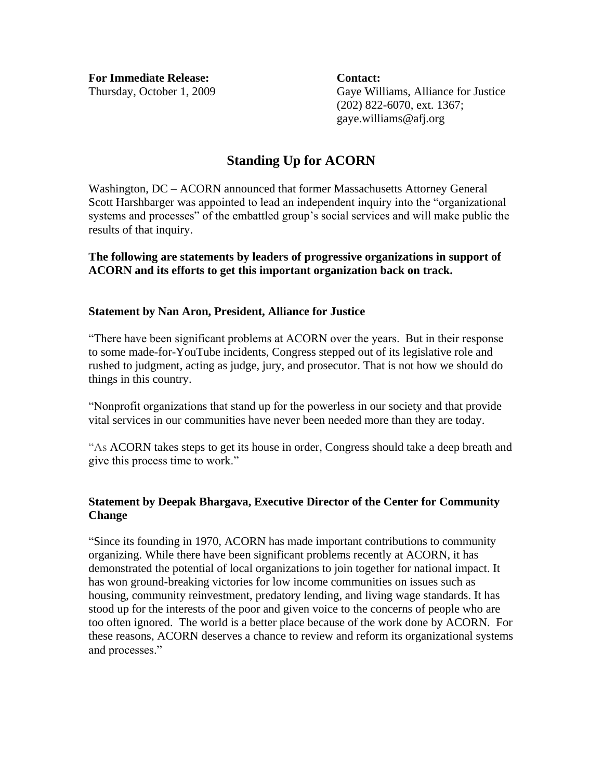**For Immediate Release: Contact:** 

Thursday, October 1, 2009 Gaye Williams, Alliance for Justice (202) 822-6070, ext. 1367; gaye.williams@afj.org

# **Standing Up for ACORN**

Washington, DC – ACORN announced that former Massachusetts Attorney General Scott Harshbarger was appointed to lead an independent inquiry into the "organizational systems and processes" of the embattled group's social services and will make public the results of that inquiry.

**The following are statements by leaders of progressive organizations in support of ACORN and its efforts to get this important organization back on track.**

#### **Statement by Nan Aron, President, Alliance for Justice**

"There have been significant problems at ACORN over the years. But in their response to some made-for-YouTube incidents, Congress stepped out of its legislative role and rushed to judgment, acting as judge, jury, and prosecutor. That is not how we should do things in this country.

"Nonprofit organizations that stand up for the powerless in our society and that provide vital services in our communities have never been needed more than they are today.

"As ACORN takes steps to get its house in order, Congress should take a deep breath and give this process time to work."

# **Statement by Deepak Bhargava, Executive Director of the Center for Community Change**

"Since its founding in 1970, ACORN has made important contributions to community organizing. While there have been significant problems recently at ACORN, it has demonstrated the potential of local organizations to join together for national impact. It has won ground-breaking victories for low income communities on issues such as housing, community reinvestment, predatory lending, and living wage standards. It has stood up for the interests of the poor and given voice to the concerns of people who are too often ignored. The world is a better place because of the work done by ACORN. For these reasons, ACORN deserves a chance to review and reform its organizational systems and processes."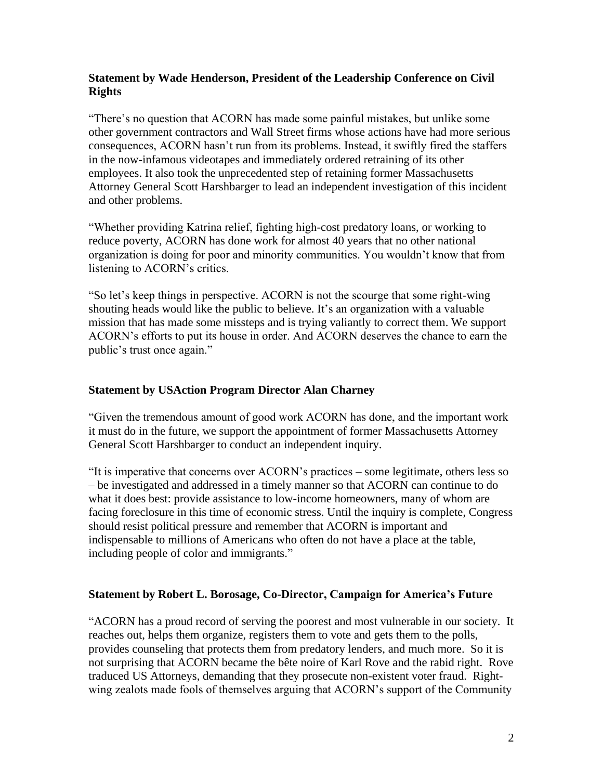# **Statement by Wade Henderson, President of the Leadership Conference on Civil Rights**

"There's no question that ACORN has made some painful mistakes, but unlike some other government contractors and Wall Street firms whose actions have had more serious consequences, ACORN hasn't run from its problems. Instead, it swiftly fired the staffers in the now-infamous videotapes and immediately ordered retraining of its other employees. It also took the unprecedented step of retaining former Massachusetts Attorney General Scott Harshbarger to lead an independent investigation of this incident and other problems.

"Whether providing Katrina relief, fighting high-cost predatory loans, or working to reduce poverty, ACORN has done work for almost 40 years that no other national organization is doing for poor and minority communities. You wouldn't know that from listening to ACORN's critics.

"So let's keep things in perspective. ACORN is not the scourge that some right-wing shouting heads would like the public to believe. It's an organization with a valuable mission that has made some missteps and is trying valiantly to correct them. We support ACORN's efforts to put its house in order. And ACORN deserves the chance to earn the public's trust once again."

## **Statement by USAction Program Director Alan Charney**

"Given the tremendous amount of good work ACORN has done, and the important work it must do in the future, we support the appointment of former Massachusetts Attorney General Scott Harshbarger to conduct an independent inquiry.

"It is imperative that concerns over ACORN's practices – some legitimate, others less so – be investigated and addressed in a timely manner so that ACORN can continue to do what it does best: provide assistance to low-income homeowners, many of whom are facing foreclosure in this time of economic stress. Until the inquiry is complete, Congress should resist political pressure and remember that ACORN is important and indispensable to millions of Americans who often do not have a place at the table, including people of color and immigrants."

#### **Statement by Robert L. Borosage, Co-Director, Campaign for America's Future**

"ACORN has a proud record of serving the poorest and most vulnerable in our society. It reaches out, helps them organize, registers them to vote and gets them to the polls, provides counseling that protects them from predatory lenders, and much more. So it is not surprising that ACORN became the bête noire of Karl Rove and the rabid right. Rove traduced US Attorneys, demanding that they prosecute non-existent voter fraud. Rightwing zealots made fools of themselves arguing that ACORN's support of the Community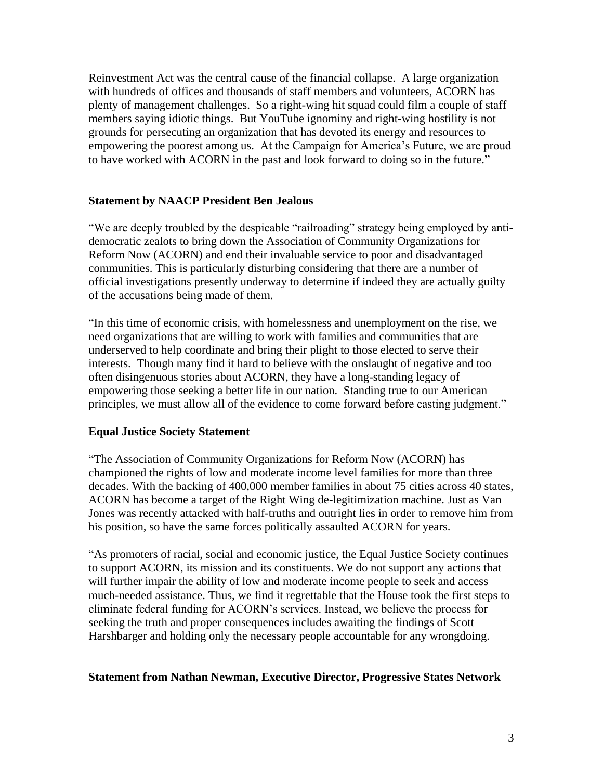Reinvestment Act was the central cause of the financial collapse. A large organization with hundreds of offices and thousands of staff members and volunteers, ACORN has plenty of management challenges. So a right-wing hit squad could film a couple of staff members saying idiotic things. But YouTube ignominy and right-wing hostility is not grounds for persecuting an organization that has devoted its energy and resources to empowering the poorest among us. At the Campaign for America's Future, we are proud to have worked with ACORN in the past and look forward to doing so in the future."

#### **Statement by NAACP President Ben Jealous**

"We are deeply troubled by the despicable "railroading" strategy being employed by antidemocratic zealots to bring down the Association of Community Organizations for Reform Now (ACORN) and end their invaluable service to poor and disadvantaged communities. This is particularly disturbing considering that there are a number of official investigations presently underway to determine if indeed they are actually guilty of the accusations being made of them.

"In this time of economic crisis, with homelessness and unemployment on the rise, we need organizations that are willing to work with families and communities that are underserved to help coordinate and bring their plight to those elected to serve their interests. Though many find it hard to believe with the onslaught of negative and too often disingenuous stories about ACORN, they have a long-standing legacy of empowering those seeking a better life in our nation. Standing true to our American principles, we must allow all of the evidence to come forward before casting judgment."

# **Equal Justice Society Statement**

"The Association of Community Organizations for Reform Now (ACORN) has championed the rights of low and moderate income level families for more than three decades. With the backing of 400,000 member families in about 75 cities across 40 states, ACORN has become a target of the Right Wing de-legitimization machine. Just as Van Jones was recently attacked with half-truths and outright lies in order to remove him from his position, so have the same forces politically assaulted ACORN for years.

"As promoters of racial, social and economic justice, the Equal Justice Society continues to support ACORN, its mission and its constituents. We do not support any actions that will further impair the ability of low and moderate income people to seek and access much-needed assistance. Thus, we find it regrettable that the House took the first steps to eliminate federal funding for ACORN's services. Instead, we believe the process for seeking the truth and proper consequences includes awaiting the findings of Scott Harshbarger and holding only the necessary people accountable for any wrongdoing.

# **Statement from Nathan Newman, Executive Director, Progressive States Network**